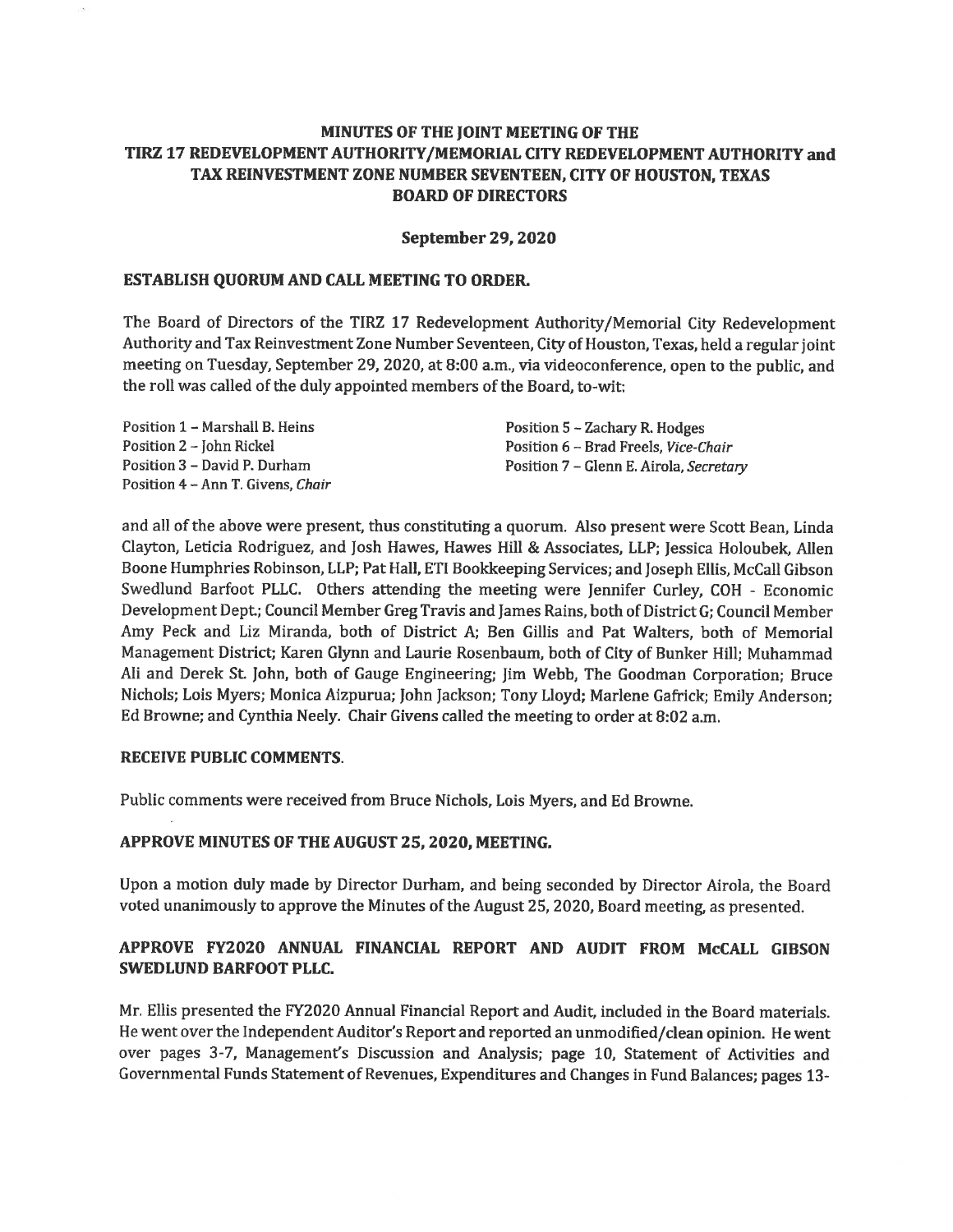# MINUTES OF THE JOINT MEETING OF THE TIRZ 17 REDEVELOPMENT AUTHORITY/MEMORIAL CITY REDEVELOPMENT AUTHORITY and TAX REINVESTMENT ZONE NUMBER SEVENTEEN, CITY OF HOUSTON. TEXAS **BOARD OF DIRECTORS**

#### **September 29, 2020**

#### ESTABLISH QUORUM AND CALL MEETING TO ORDER.

The Board of Directors of the TIRZ 17 Redevelopment Authority/Memorial City Redevelopment Authority and Tax Reinvestment Zone Number Seventeen, City of Houston, Texas, held a regular joint meeting on Tuesday, September 29, 2020, at 8:00 a.m., via videoconference, open to the public, and the roll was called of the duly appointed members of the Board, to-wit:

| Position 1 – Marshall B. Heins    | Position 5 – Zachary R. Hodges          |
|-----------------------------------|-----------------------------------------|
| Position 2 – John Rickel          | Position 6 – Brad Freels, Vice-Chair    |
| Position 3 – David P. Durham      | Position 7 – Glenn E. Airola, Secretary |
| Position 4 – Ann T. Givens, Chair |                                         |

and all of the above were present, thus constituting a quorum. Also present were Scott Bean, Linda Clayton, Leticia Rodriguez, and Josh Hawes, Hawes Hill & Associates, LLP; Jessica Holoubek, Allen Boone Humphries Robinson, LLP; Pat Hall, ETI Bookkeeping Services; and Joseph Ellis, McCall Gibson Swedlund Barfoot PLLC. Others attending the meeting were Jennifer Curley, COH - Economic Development Dept.; Council Member Greg Travis and James Rains, both of District G: Council Member Amy Peck and Liz Miranda, both of District A; Ben Gillis and Pat Walters, both of Memorial Management District; Karen Glynn and Laurie Rosenbaum, both of City of Bunker Hill; Muhammad Ali and Derek St. John, both of Gauge Engineering; Jim Webb, The Goodman Corporation; Bruce Nichols; Lois Myers; Monica Aizpurua; John Jackson; Tony Lloyd; Marlene Gafrick; Emily Anderson; Ed Browne; and Cynthia Neely. Chair Givens called the meeting to order at 8:02 a.m.

#### **RECEIVE PUBLIC COMMENTS.**

Public comments were received from Bruce Nichols, Lois Myers, and Ed Browne.

#### APPROVE MINUTES OF THE AUGUST 25, 2020, MEETING.

Upon a motion duly made by Director Durham, and being seconded by Director Airola, the Board voted unanimously to approve the Minutes of the August 25, 2020, Board meeting, as presented.

# APPROVE FY2020 ANNUAL FINANCIAL REPORT AND AUDIT FROM McCALL GIBSON SWEDLUND BARFOOT PLLC.

Mr. Ellis presented the FY2020 Annual Financial Report and Audit, included in the Board materials. He went over the Independent Auditor's Report and reported an unmodified/clean opinion. He went over pages 3-7, Management's Discussion and Analysis; page 10, Statement of Activities and Governmental Funds Statement of Revenues, Expenditures and Changes in Fund Balances; pages 13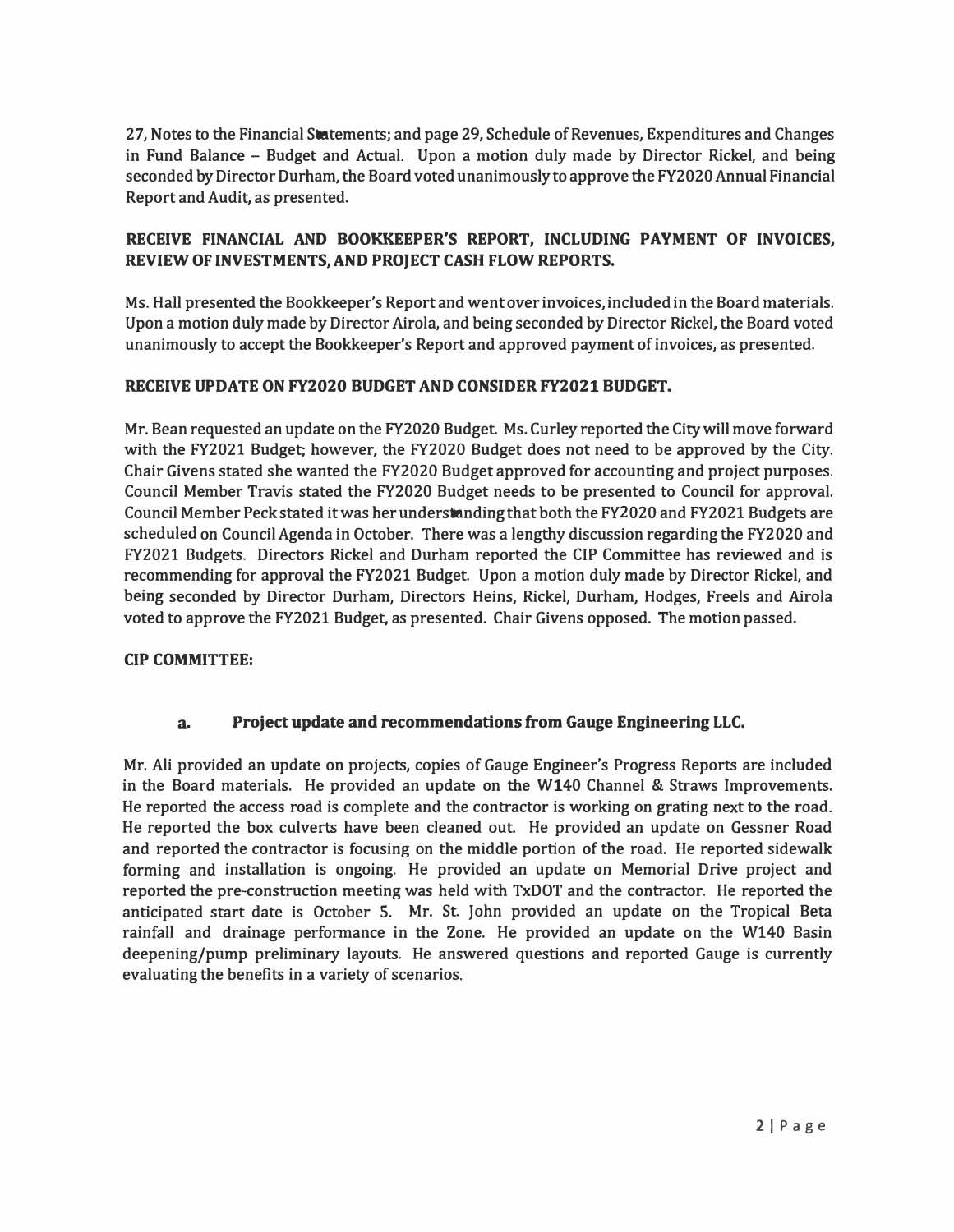**27, Notes to the Financial Statements; and page 29, Schedule of Revenues, Expenditures and Changes in Fund Balance - Budget and Actual. Upon a motion duly made by Director Rickel, and being seconded by Director Durham, the Board voted unanimously to approve the FY2020 Annual Financial Report and Audit, as presented.** 

# **RECEIVE FINANCIAL AND BOOKKEEPER'S REPORT, INCLUDING PAYMENT OF INVOICES, REVIEW OF INVESTMENTS, AND PROJECT CASH FLOW REPORTS.**

**Ms. Hall presented the Bookkeeper's Report and went over invoices, included in the Board materials. Upon a motion duly made by Director Airola, and being seconded by Director Rickel, the Board voted unanimously to accept the Bookkeeper's Report and approved payment of invoices, as presented.** 

### **RECEIVE UPDATE ON FY2020 BUDGET AND CONSIDER FY2021 BUDGET.**

**Mr. Bean requested an update on the FY2020 Budget. Ms. Curley reported the City will move forward with the FY2021 Budget; however, the FY2020 Budget does not need to be approved by the City. Chair Givens stated she wanted the FY2020 Budget approved for accounting and project purposes. Council Member Travis stated the FY2020 Budget needs to be presented to Council for approval. Council Member Peck stated it was her understanding that both the FY2020 and FY2021 Budgets are scheduled on Council Agenda in October. There was a lengthy discussion regarding the FY2 020 and FY2021 Budgets. Directors Rickel and Durham reported the CIP Committee has reviewed and is recommending for approval the FY2021 Budget. Upon a motion duly made by Director Rickel, and being seconded by Director Durham, Directors Heins, Rickel, Durham, Hodges, Freels and Airola voted to approve the FY2021 Budget, as presented. Chair Givens opposed. The motion passed.** 

### **CIP COMMITTEE:**

### **a. Project update and recommendations from Gauge Engineering LLC.**

**Mr. Ali provided an update on projects, copies of Gauge Engineer's Progress Reports are included in the Board materials. He provided an update on the W140 Channel & Straws Improvements. He reported the access road is complete and the contractor is working on grating next to the road. He reported the box culverts have been cleaned out. He provided an update on Gessner Road and reported the contractor is focusing on the middle portion of the road. He reported sidewalk forming and installation is ongoing. He provided an update on Memorial Drive project and reported the preconstruction meeting was held with TxDOT and the contractor. He reported the anticipated start date is October S. Mr. St. John provided an update on the Tropical Beta rainfall and drainage performance in the Zone. He provided an update on the W140 Basin deepening/pump preliminary layouts. He answered questions and reported Gauge is currently evaluating the benefits in a variety of scenarios.**